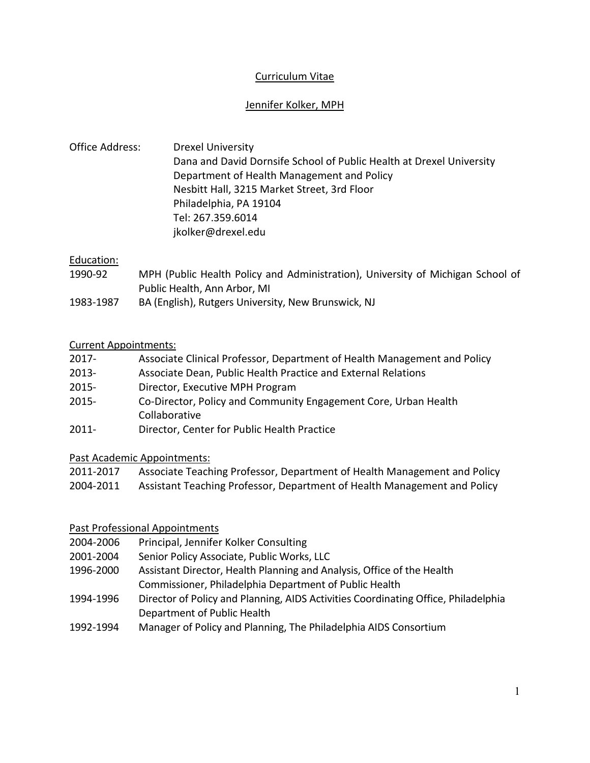# Curriculum Vitae

## Jennifer Kolker, MPH

Office Address: Drexel University Dana and David Dornsife School of Public Health at Drexel University Department of Health Management and Policy Nesbitt Hall, 3215 Market Street, 3rd Floor Philadelphia, PA 19104 Tel: 267.359.6014 jkolker@drexel.edu

## Education:

- 1990-92 MPH (Public Health Policy and Administration), University of Michigan School of Public Health, Ann Arbor, MI
- 1983-1987 BA (English), Rutgers University, New Brunswick, NJ

## Current Appointments:

| $2017 -$ | Associate Clinical Professor, Department of Health Management and Policy |
|----------|--------------------------------------------------------------------------|
| $2013 -$ | Associate Dean, Public Health Practice and External Relations            |
| $2015 -$ | Director, Executive MPH Program                                          |
| $2015 -$ | Co-Director, Policy and Community Engagement Core, Urban Health          |
|          | Collaborative                                                            |
| 2011     | Disastes Captas fas Dublis Haalth Dsastiaa                               |

2011- Director, Center for Public Health Practice

Past Academic Appointments:

| 2011-2017 | Associate Teaching Professor, Department of Health Management and Policy |
|-----------|--------------------------------------------------------------------------|
| 2004-2011 | Assistant Teaching Professor, Department of Health Management and Policy |

# Past Professional Appointments

- 2004-2006 Principal, Jennifer Kolker Consulting
- 2001-2004 Senior Policy Associate, Public Works, LLC
- 1996-2000 Assistant Director, Health Planning and Analysis, Office of the Health Commissioner, Philadelphia Department of Public Health
- 1994-1996 Director of Policy and Planning, AIDS Activities Coordinating Office, Philadelphia Department of Public Health
- 1992-1994 Manager of Policy and Planning, The Philadelphia AIDS Consortium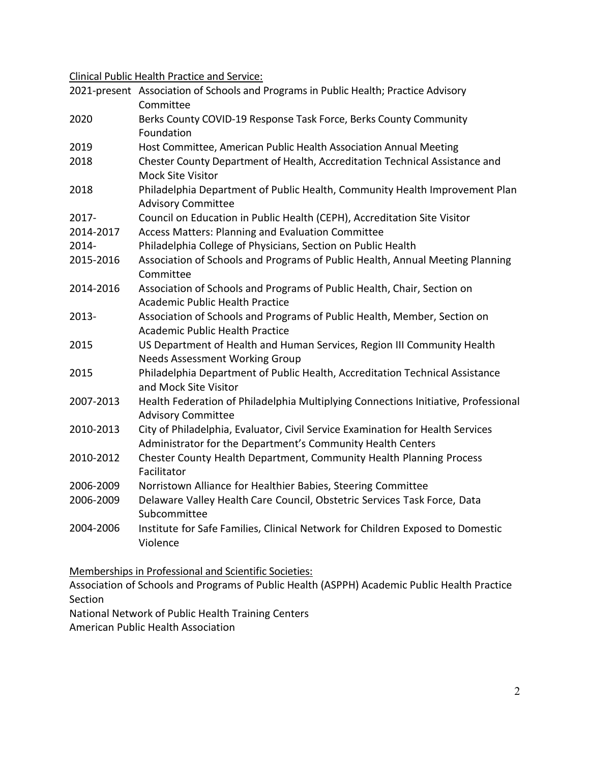Clinical Public Health Practice and Service:

|           | 2021-present Association of Schools and Programs in Public Health; Practice Advisory<br>Committee                                             |  |  |  |  |
|-----------|-----------------------------------------------------------------------------------------------------------------------------------------------|--|--|--|--|
| 2020      | Berks County COVID-19 Response Task Force, Berks County Community<br>Foundation                                                               |  |  |  |  |
| 2019      | Host Committee, American Public Health Association Annual Meeting                                                                             |  |  |  |  |
| 2018      | Chester County Department of Health, Accreditation Technical Assistance and<br><b>Mock Site Visitor</b>                                       |  |  |  |  |
| 2018      | Philadelphia Department of Public Health, Community Health Improvement Plan<br><b>Advisory Committee</b>                                      |  |  |  |  |
| 2017-     | Council on Education in Public Health (CEPH), Accreditation Site Visitor                                                                      |  |  |  |  |
| 2014-2017 | Access Matters: Planning and Evaluation Committee                                                                                             |  |  |  |  |
| 2014-     | Philadelphia College of Physicians, Section on Public Health                                                                                  |  |  |  |  |
| 2015-2016 | Association of Schools and Programs of Public Health, Annual Meeting Planning<br>Committee                                                    |  |  |  |  |
| 2014-2016 | Association of Schools and Programs of Public Health, Chair, Section on<br><b>Academic Public Health Practice</b>                             |  |  |  |  |
| 2013-     | Association of Schools and Programs of Public Health, Member, Section on<br><b>Academic Public Health Practice</b>                            |  |  |  |  |
| 2015      | US Department of Health and Human Services, Region III Community Health<br><b>Needs Assessment Working Group</b>                              |  |  |  |  |
| 2015      | Philadelphia Department of Public Health, Accreditation Technical Assistance<br>and Mock Site Visitor                                         |  |  |  |  |
| 2007-2013 | Health Federation of Philadelphia Multiplying Connections Initiative, Professional<br><b>Advisory Committee</b>                               |  |  |  |  |
| 2010-2013 | City of Philadelphia, Evaluator, Civil Service Examination for Health Services<br>Administrator for the Department's Community Health Centers |  |  |  |  |
| 2010-2012 | Chester County Health Department, Community Health Planning Process<br>Facilitator                                                            |  |  |  |  |
| 2006-2009 | Norristown Alliance for Healthier Babies, Steering Committee                                                                                  |  |  |  |  |
| 2006-2009 | Delaware Valley Health Care Council, Obstetric Services Task Force, Data<br>Subcommittee                                                      |  |  |  |  |
| 2004-2006 | Institute for Safe Families, Clinical Network for Children Exposed to Domestic<br>Violence                                                    |  |  |  |  |

Memberships in Professional and Scientific Societies:

Association of Schools and Programs of Public Health (ASPPH) Academic Public Health Practice Section

National Network of Public Health Training Centers

American Public Health Association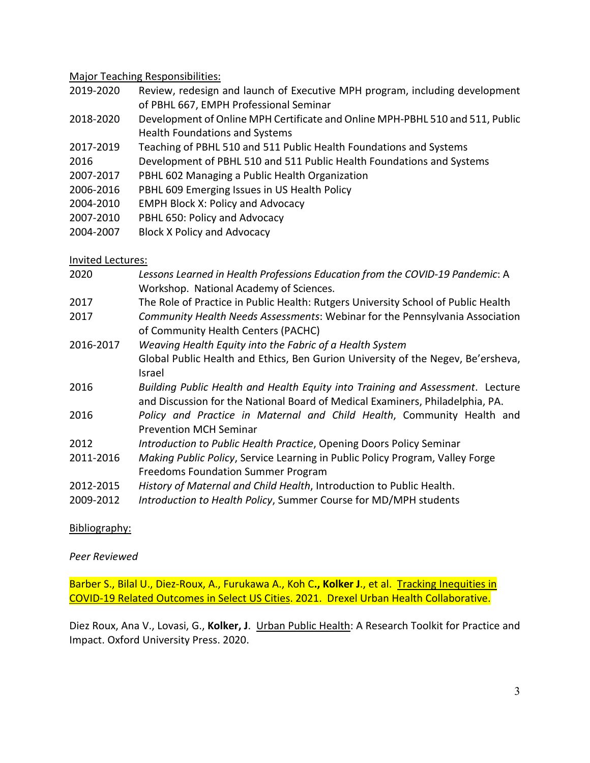### Major Teaching Responsibilities:

- 2019-2020 Review, redesign and launch of Executive MPH program, including development of PBHL 667, EMPH Professional Seminar
- 2018-2020 Development of Online MPH Certificate and Online MPH-PBHL 510 and 511, Public Health Foundations and Systems
- 2017-2019 Teaching of PBHL 510 and 511 Public Health Foundations and Systems
- 2016 Development of PBHL 510 and 511 Public Health Foundations and Systems
- 2007-2017 PBHL 602 Managing a Public Health Organization
- 2006-2016 PBHL 609 Emerging Issues in US Health Policy
- 2004-2010 EMPH Block X: Policy and Advocacy
- 2007-2010 PBHL 650: Policy and Advocacy
- 2004-2007 Block X Policy and Advocacy

#### Invited Lectures:

| 2020      | Lessons Learned in Health Professions Education from the COVID-19 Pandemic: A                                                                                   |
|-----------|-----------------------------------------------------------------------------------------------------------------------------------------------------------------|
|           | Workshop. National Academy of Sciences.                                                                                                                         |
| 2017      | The Role of Practice in Public Health: Rutgers University School of Public Health                                                                               |
| 2017      | Community Health Needs Assessments: Webinar for the Pennsylvania Association                                                                                    |
|           | of Community Health Centers (PACHC)                                                                                                                             |
| 2016-2017 | Weaving Health Equity into the Fabric of a Health System                                                                                                        |
|           | Global Public Health and Ethics, Ben Gurion University of the Negev, Be'ersheva,<br>Israel                                                                      |
| 2016      | Building Public Health and Health Equity into Training and Assessment. Lecture<br>and Discussion for the National Board of Medical Examiners, Philadelphia, PA. |
| 2016      | Policy and Practice in Maternal and Child Health, Community Health and<br><b>Prevention MCH Seminar</b>                                                         |
| 2012      | Introduction to Public Health Practice, Opening Doors Policy Seminar                                                                                            |
| 2011-2016 | Making Public Policy, Service Learning in Public Policy Program, Valley Forge<br>Freedoms Foundation Summer Program                                             |
| 2012-2015 | History of Maternal and Child Health, Introduction to Public Health.                                                                                            |
| 2009-2012 | Introduction to Health Policy, Summer Course for MD/MPH students                                                                                                |

#### Bibliography:

## *Peer Reviewed*

Barber S., Bilal U., Diez-Roux, A., Furukawa A., Koh C**., Kolker J**., et al. Tracking Inequities in COVID-19 Related Outcomes in Select US Cities. 2021. Drexel Urban Health Collaborative.

Diez Roux, Ana V., Lovasi, G., **Kolker, J**. Urban Public Health: A Research Toolkit for Practice and Impact. Oxford University Press. 2020.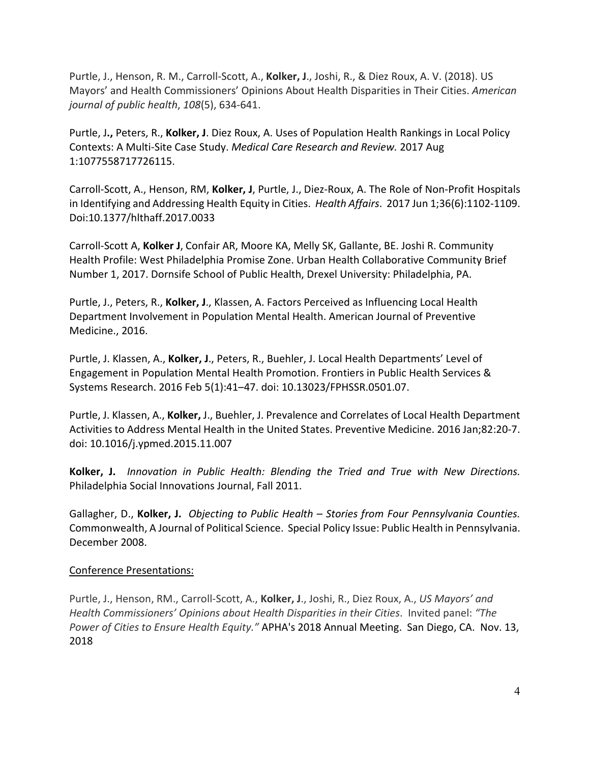Purtle, J., Henson, R. M., Carroll-Scott, A., **Kolker, J**., Joshi, R., & Diez Roux, A. V. (2018). US Mayors' and Health Commissioners' Opinions About Health Disparities in Their Cities. *American journal of public health*, *108*(5), 634-641.

Purtle, J**.,** Peters, R., **Kolker, J**. Diez Roux, A. Uses of Population Health Rankings in Local Policy Contexts: A Multi-Site Case Study. *Medical Care Research and Review.* 2017 Aug 1:1077558717726115.

Carroll-Scott, A., Henson, RM, **Kolker, J**, Purtle, J., Diez-Roux, A. The Role of Non-Profit Hospitals in Identifying and Addressing Health Equity in Cities. *Health Affairs*. 2017 Jun 1;36(6):1102-1109. Doi:10.1377/hlthaff.2017.0033

Carroll-Scott A, **Kolker J**, Confair AR, Moore KA, Melly SK, Gallante, BE. Joshi R. Community Health Profile: West Philadelphia Promise Zone. Urban Health Collaborative Community Brief Number 1, 2017. Dornsife School of Public Health, Drexel University: Philadelphia, PA.

Purtle, J., Peters, R., **Kolker, J**., Klassen, A. Factors Perceived as Influencing Local Health Department Involvement in Population Mental Health. American Journal of Preventive Medicine., 2016.

Purtle, J. Klassen, A., **Kolker, J**., Peters, R., Buehler, J. Local Health Departments' Level of Engagement in Population Mental Health Promotion. Frontiers in Public Health Services & Systems Research. 2016 Feb 5(1):41–47. doi: 10.13023/FPHSSR.0501.07.

Purtle, J. Klassen, A., **Kolker,** J., Buehler, J. Prevalence and Correlates of Local Health Department Activities to Address Mental Health in the United States. Preventive Medicine. 2016 Jan;82:20-7. doi: 10.1016/j.ypmed.2015.11.007

**Kolker, J.** *Innovation in Public Health: Blending the Tried and True with New Directions.* Philadelphia Social Innovations Journal, Fall 2011.

Gallagher, D., **Kolker, J.** *Objecting to Public Health – Stories from Four Pennsylvania Counties.* Commonwealth, A Journal of Political Science. Special Policy Issue: Public Health in Pennsylvania. December 2008.

## Conference Presentations:

Purtle, J., Henson, RM., Carroll-Scott, A., **Kolker, J**., Joshi, R., Diez Roux, A., *US Mayors' and Health Commissioners' Opinions about Health Disparities in their Cities*. Invited panel: *"The Power of Cities to Ensure Health Equity."* APHA's 2018 Annual Meeting. San Diego, CA. Nov. 13, 2018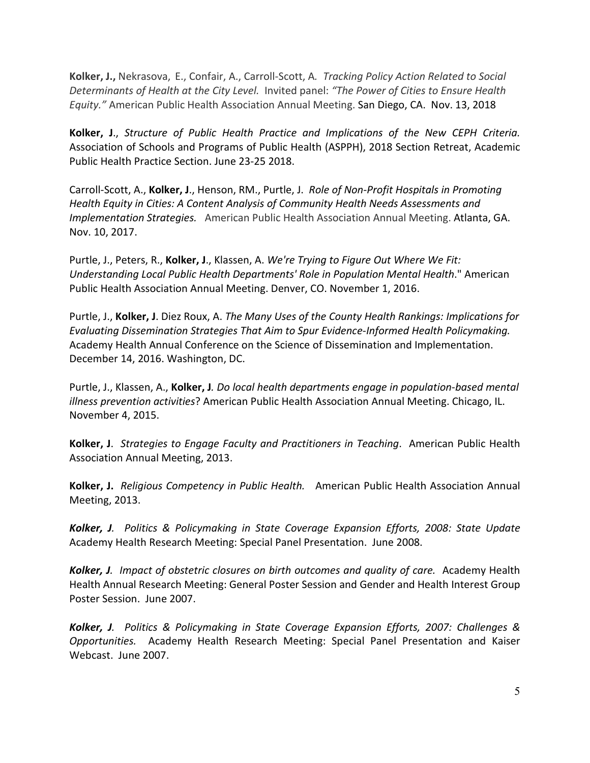**Kolker, J.,** Nekrasova, E., Confair, A., Carroll-Scott, A*. Tracking Policy Action Related to Social Determinants of Health at the City Level.* Invited panel: *"The Power of Cities to Ensure Health Equity."* American Public Health Association Annual Meeting. San Diego, CA. Nov. 13, 2018

**Kolker, J**., *Structure of Public Health Practice and Implications of the New CEPH Criteria.* Association of Schools and Programs of Public Health (ASPPH), 2018 Section Retreat, Academic Public Health Practice Section. June 23-25 2018.

Carroll-Scott, A., **Kolker, J**., Henson, RM., Purtle, J. *Role of Non-Profit Hospitals in Promoting Health Equity in Cities: A Content Analysis of Community Health Needs Assessments and Implementation Strategies.* American Public Health Association Annual Meeting. Atlanta, GA. Nov. 10, 2017.

Purtle, J., Peters, R., **Kolker, J**., Klassen, A. *We're Trying to Figure Out Where We Fit: Understanding Local Public Health Departments' Role in Population Mental Health*." American Public Health Association Annual Meeting. Denver, CO. November 1, 2016.

Purtle, J., **Kolker, J**. Diez Roux, A. *The Many Uses of the County Health Rankings: Implications for Evaluating Dissemination Strategies That Aim to Spur Evidence-Informed Health Policymaking.* Academy Health Annual Conference on the Science of Dissemination and Implementation. December 14, 2016. Washington, DC.

Purtle, J., Klassen, A., **Kolker, J***. Do local health departments engage in population-based mental illness prevention activities*? American Public Health Association Annual Meeting. Chicago, IL. November 4, 2015.

**Kolker, J**. *Strategies to Engage Faculty and Practitioners in Teaching*. American Public Health Association Annual Meeting, 2013.

**Kolker, J.** *Religious Competency in Public Health.* American Public Health Association Annual Meeting, 2013.

*Kolker, J. Politics & Policymaking in State Coverage Expansion Efforts, 2008: State Update* Academy Health Research Meeting: Special Panel Presentation. June 2008.

*Kolker, J. Impact of obstetric closures on birth outcomes and quality of care.* Academy Health Health Annual Research Meeting: General Poster Session and Gender and Health Interest Group Poster Session. June 2007.

*Kolker, J. Politics & Policymaking in State Coverage Expansion Efforts, 2007: Challenges & Opportunities.* Academy Health Research Meeting: Special Panel Presentation and Kaiser Webcast. June 2007.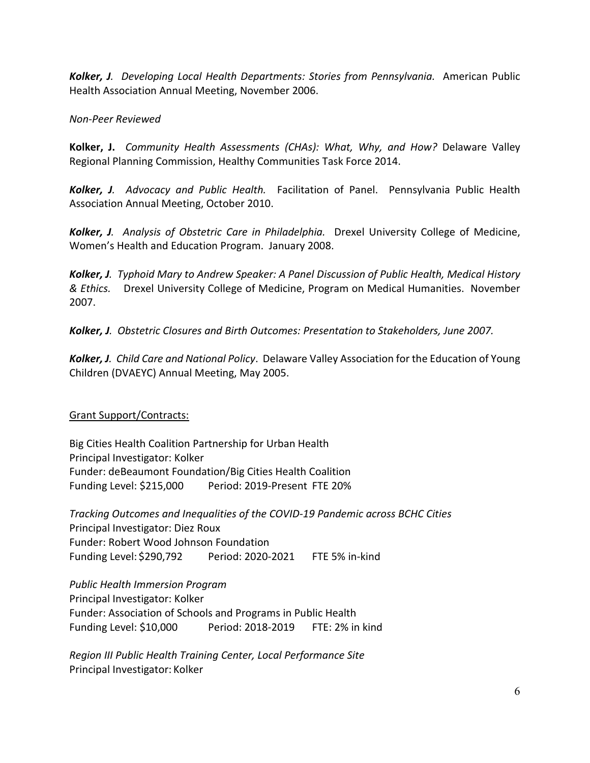*Kolker, J. Developing Local Health Departments: Stories from Pennsylvania.* American Public Health Association Annual Meeting, November 2006.

# *Non-Peer Reviewed*

**Kolker, J.** *Community Health Assessments (CHAs): What, Why, and How?* Delaware Valley Regional Planning Commission, Healthy Communities Task Force 2014.

*Kolker, J. Advocacy and Public Health.* Facilitation of Panel. Pennsylvania Public Health Association Annual Meeting, October 2010.

*Kolker, J. Analysis of Obstetric Care in Philadelphia.* Drexel University College of Medicine, Women's Health and Education Program. January 2008.

*Kolker, J. Typhoid Mary to Andrew Speaker: A Panel Discussion of Public Health, Medical History & Ethics.* Drexel University College of Medicine, Program on Medical Humanities. November 2007.

*Kolker, J. Obstetric Closures and Birth Outcomes: Presentation to Stakeholders, June 2007.*

*Kolker, J. Child Care and National Policy*. Delaware Valley Association for the Education of Young Children (DVAEYC) Annual Meeting, May 2005.

# Grant Support/Contracts:

Big Cities Health Coalition Partnership for Urban Health Principal Investigator: Kolker Funder: deBeaumont Foundation/Big Cities Health Coalition Funding Level: \$215,000 Period: 2019-Present FTE 20%

*Tracking Outcomes and Inequalities of the COVID-19 Pandemic across BCHC Cities* Principal Investigator: Diez Roux Funder: Robert Wood Johnson Foundation Funding Level: \$290,792 Period: 2020-2021 FTE 5% in-kind

*Public Health Immersion Program* Principal Investigator: Kolker Funder: Association of Schools and Programs in Public Health Funding Level: \$10,000 Period: 2018-2019 FTE: 2% in kind

*Region III Public Health Training Center, Local Performance Site* Principal Investigator: Kolker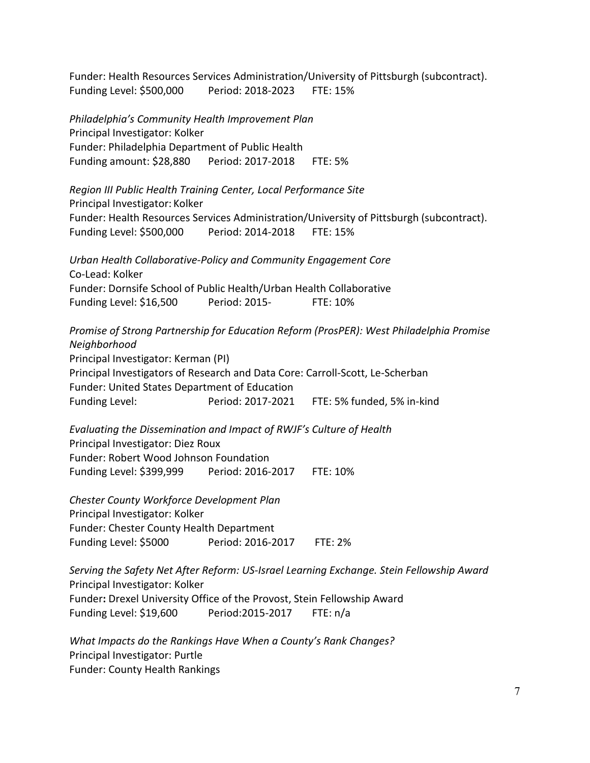Funder: Health Resources Services Administration/University of Pittsburgh (subcontract). Funding Level: \$500,000 Period: 2018-2023 FTE: 15%

*Philadelphia's Community Health Improvement Plan* Principal Investigator: Kolker Funder: Philadelphia Department of Public Health Funding amount: \$28,880 Period: 2017-2018 FTE: 5%

*Region III Public Health Training Center, Local Performance Site* Principal Investigator: Kolker Funder: Health Resources Services Administration/University of Pittsburgh (subcontract). Funding Level: \$500,000 Period: 2014-2018 FTE: 15%

*Urban Health Collaborative-Policy and Community Engagement Core* Co-Lead: Kolker Funder: Dornsife School of Public Health/Urban Health Collaborative Funding Level: \$16,500 Period: 2015- FTE: 10%

*Promise of Strong Partnership for Education Reform (ProsPER): West Philadelphia Promise Neighborhood* Principal Investigator: Kerman (PI) Principal Investigators of Research and Data Core: Carroll-Scott, Le-Scherban Funder: United States Department of Education Funding Level: Period: 2017-2021 FTE: 5% funded, 5% in-kind

*Evaluating the Dissemination and Impact of RWJF's Culture of Health* Principal Investigator: Diez Roux Funder: Robert Wood Johnson Foundation Funding Level: \$399,999 Period: 2016-2017 FTE: 10%

*Chester County Workforce Development Plan* Principal Investigator: Kolker Funder: Chester County Health Department Funding Level: \$5000 Period: 2016-2017 FTE: 2%

*Serving the Safety Net After Reform: US-Israel Learning Exchange. Stein Fellowship Award* Principal Investigator: Kolker Funder**:** Drexel University Office of the Provost, Stein Fellowship Award Funding Level: \$19,600 Period:2015-2017 FTE: n/a

*What Impacts do the Rankings Have When a County's Rank Changes?*  Principal Investigator: Purtle Funder: County Health Rankings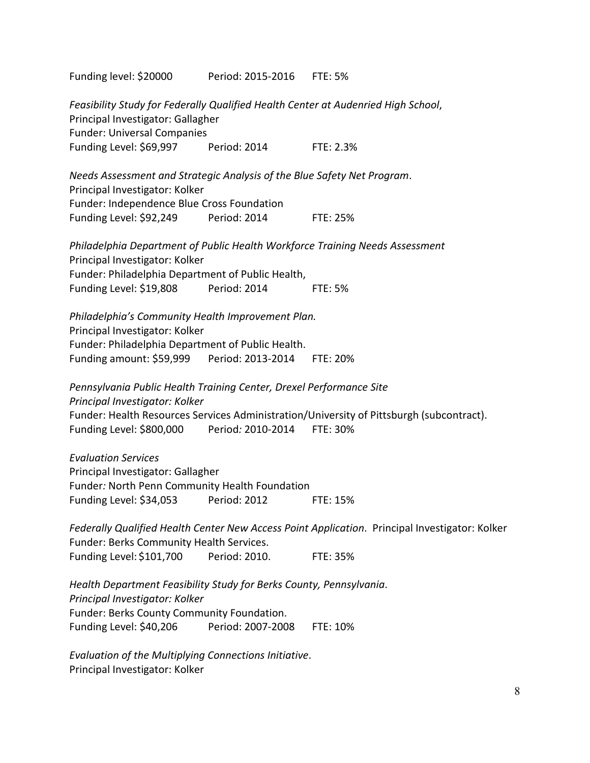Funding level: \$20000 Period: 2015-2016 FTE: 5% *Feasibility Study for Federally Qualified Health Center at Audenried High School*, Principal Investigator: Gallagher Funder: Universal Companies Funding Level: \$69,997 Period: 2014 FTE: 2.3% *Needs Assessment and Strategic Analysis of the Blue Safety Net Program*. Principal Investigator: Kolker Funder: Independence Blue Cross Foundation Funding Level: \$92,249 Period: 2014 FTE: 25% *Philadelphia Department of Public Health Workforce Training Needs Assessment* Principal Investigator: Kolker Funder: Philadelphia Department of Public Health, Funding Level: \$19,808 Period: 2014 FTE: 5% *Philadelphia's Community Health Improvement Plan.* Principal Investigator: Kolker Funder: Philadelphia Department of Public Health. Funding amount: \$59,999 Period: 2013-2014 FTE: 20% *Pennsylvania Public Health Training Center, Drexel Performance Site Principal Investigator: Kolker* Funder: Health Resources Services Administration/University of Pittsburgh (subcontract). Funding Level: \$800,000 Period*:* 2010-2014 FTE: 30% *Evaluation Services* Principal Investigator: Gallagher Funder*:* North Penn Community Health Foundation Funding Level: \$34,053 Period: 2012 FTE: 15% *Federally Qualified Health Center New Access Point Application*. Principal Investigator: Kolker Funder: Berks Community Health Services. Funding Level: \$101,700 Period: 2010. FTE: 35% *Health Department Feasibility Study for Berks County, Pennsylvania*. *Principal Investigator: Kolker* Funder: Berks County Community Foundation. Funding Level: \$40,206 Period: 2007-2008 FTE: 10% *Evaluation of the Multiplying Connections Initiative*. Principal Investigator: Kolker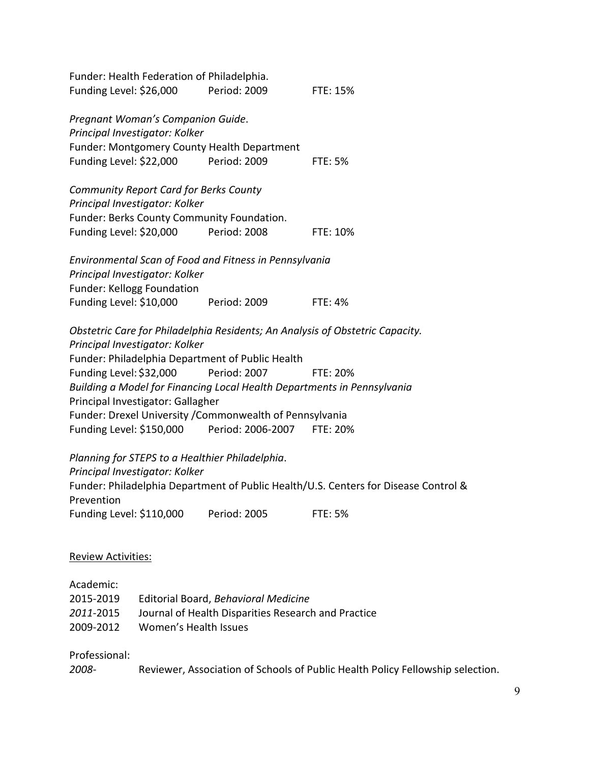| Funding Level: \$26,000    | Funder: Health Federation of Philadelphia.                          | Period: 2009                                                            | <b>FTE: 15%</b>                                                                     |
|----------------------------|---------------------------------------------------------------------|-------------------------------------------------------------------------|-------------------------------------------------------------------------------------|
|                            | Pregnant Woman's Companion Guide.<br>Principal Investigator: Kolker |                                                                         |                                                                                     |
|                            |                                                                     | Funder: Montgomery County Health Department                             |                                                                                     |
| Funding Level: \$22,000    |                                                                     | Period: 2009                                                            | <b>FTE: 5%</b>                                                                      |
|                            | <b>Community Report Card for Berks County</b>                       |                                                                         |                                                                                     |
|                            | Principal Investigator: Kolker                                      |                                                                         |                                                                                     |
|                            |                                                                     | Funder: Berks County Community Foundation.                              |                                                                                     |
|                            | Funding Level: \$20,000                                             | Period: 2008                                                            | FTE: 10%                                                                            |
|                            |                                                                     | Environmental Scan of Food and Fitness in Pennsylvania                  |                                                                                     |
|                            | Principal Investigator: Kolker                                      |                                                                         |                                                                                     |
| Funder: Kellogg Foundation |                                                                     |                                                                         |                                                                                     |
| Funding Level: \$10,000    |                                                                     | Period: 2009                                                            | <b>FTE: 4%</b>                                                                      |
|                            |                                                                     |                                                                         | Obstetric Care for Philadelphia Residents; An Analysis of Obstetric Capacity.       |
|                            | Principal Investigator: Kolker                                      |                                                                         |                                                                                     |
|                            |                                                                     | Funder: Philadelphia Department of Public Health                        |                                                                                     |
| Funding Level: \$32,000    |                                                                     | <b>Period: 2007</b>                                                     | FTE: 20%                                                                            |
|                            | Principal Investigator: Gallagher                                   | Building a Model for Financing Local Health Departments in Pennsylvania |                                                                                     |
|                            |                                                                     | Funder: Drexel University / Commonwealth of Pennsylvania                |                                                                                     |
|                            |                                                                     | Funding Level: \$150,000 Period: 2006-2007 FTE: 20%                     |                                                                                     |
|                            |                                                                     | Planning for STEPS to a Healthier Philadelphia.                         |                                                                                     |
|                            | Principal Investigator: Kolker                                      |                                                                         |                                                                                     |
|                            |                                                                     |                                                                         | Funder: Philadelphia Department of Public Health/U.S. Centers for Disease Control & |
| Prevention                 |                                                                     |                                                                         |                                                                                     |
| Funding Level: \$110,000   |                                                                     | Period: 2005                                                            | <b>FTE: 5%</b>                                                                      |
|                            |                                                                     |                                                                         |                                                                                     |
| <b>Review Activities:</b>  |                                                                     |                                                                         |                                                                                     |
| Academic:                  |                                                                     |                                                                         |                                                                                     |
| 2015-2019                  |                                                                     | Editorial Board, Behavioral Medicine                                    |                                                                                     |
| 2011-2015                  |                                                                     | Journal of Health Disparities Research and Practice                     |                                                                                     |
| 2009-2012                  | Women's Health Issues                                               |                                                                         |                                                                                     |

Professional:

*2008-* Reviewer, Association of Schools of Public Health Policy Fellowship selection.